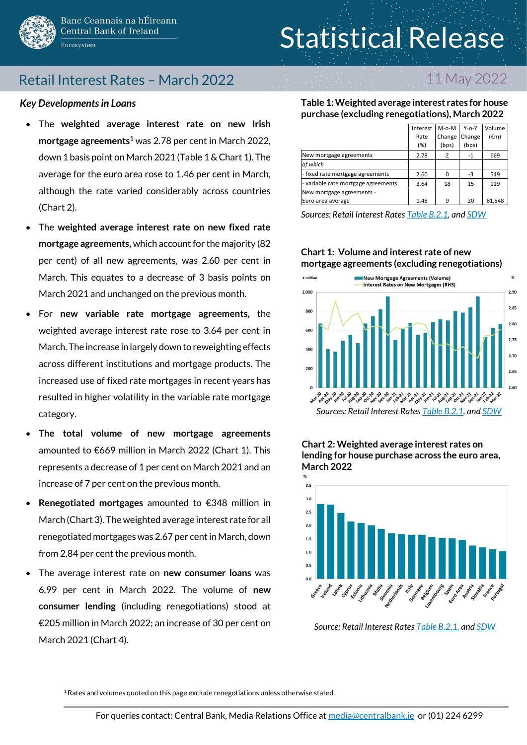

# Retail Interest Rates – March 2022 11 May 2022

## *Key Developments in Loans*

- The **weighted average interest rate on new Irish mortgage agreements<sup>1</sup>** was 2.78 per cent in March 2022, down 1 basis point on March 2021 (Table 1 & Chart 1). The average for the euro area rose to 1.46 per cent in March, although the rate varied considerably across countries (Chart 2).
- The **weighted average interest rate on new fixed rate**  mortgage agreements, which account for the majority (82 per cent) of all new agreements, was 2.60 per cent in March. This equates to a decrease of 3 basis points on March 2021 and unchanged on the previous month.
- For **new variable rate mortgage agreements,** the weighted average interest rate rose to 3.64 per cent in March. The increase in largely down to reweighting effects across different institutions and mortgage products. The increased use of fixed rate mortgages in recent years has resulted in higher volatility in the variable rate mortgage category.
- **The total volume of new mortgage agreements** amounted to €669 million in March 2022 (Chart 1). This represents a decrease of 1 per cent on March 2021 and an increase of 7 per cent on the previous month.
- **Renegotiated mortgages** amounted to €348 million in March (Chart 3). Theweighted average interest rate for all renegotiated mortgages was 2.67 per centin March, down from 2.84 per cent the previous month.
- The average interest rate on **new consumer loans** was 6.99 per cent in March 2022. The volume of **new consumer lending** (including renegotiations) stood at €205 million in March 2022; an increase of 30 per cent on March 2021 (Chart 4).

## **Table 1: Weighted average interest rates for house purchase (excluding renegotiations), March 2022**

|                                     | Interest | $M-O-M$       | $Y$ -0- $Y$ | Volume         |
|-------------------------------------|----------|---------------|-------------|----------------|
|                                     | Rate     | Change        | Change      | $(\epsilon m)$ |
|                                     | (%)      | (bps)         | (bps)       |                |
| New mortgage agreements             | 2.78     | $\mathcal{P}$ | -1          | 669            |
| of which                            |          |               |             |                |
| - fixed rate mortgage agreements    | 2.60     |               | -3          | 549            |
| - variable rate mortgage agreements | 3.64     | 18            | 15          | 119            |
| New mortgage agreements -           |          |               |             |                |
| Euro area average                   | 1.46     | q             | 20          | 81,548         |

*Sources: Retail Interest Rates [Table B.2.1,](https://www.centralbank.ie/statistics/data-and-analysis/credit-and-banking-statistics/retail-interest-rates) and [SDW](http://sdw.ecb.europa.eu/browse.do?node=9691382)*

## **Chart 1: Volume and interest rate of new mortgage agreements (excluding renegotiations)**



## **Chart 2: Weighted average interest rates on lending for house purchase across the euro area, March 2022**



*Source: Retail Interest Rate[s Table B.2.1,](https://www.centralbank.ie/statistics/data-and-analysis/credit-and-banking-statistics/retail-interest-rates) and [SDW](http://sdw.ecb.europa.eu/browseTable.do?removeItem=N&mergeFilter=&ec=&rc=&legendPub=published&oc=&df=true&DATASET=0&DATASET=1&DATASET=2&DATASET=3&dc=&BS_ITEM.36=A2C&IR_BUS_COV.36=P&REF_AREA.36=AT&REF_AREA.36=BE&REF_AREA.36=CY&REF_AREA.36=DE&REF_AREA.36=EE&REF_AREA.36=ES&REF_AREA.36=FI&REF_AREA.36=FR&REF_AREA.36=GR&REF_AREA.36=IE&REF_AREA.36=IT&REF_AREA.36=LT&REF_AREA.36=LU&REF_AREA.36=LV&REF_AREA.36=MT&REF_AREA.36=NL&REF_AREA.36=PT&REF_AREA.36=SI&REF_AREA.36=SK&REF_AREA.36=U2&node=9691393&showHide=&pb=&removedItemList=&legendNor=&activeTab=&legendRef=reference&SERIES_KEY=124.MIR.M.AT.B.A2C.A.R.A.2250.EUR.P&SERIES_KEY=124.MIR.M.BE.B.A2C.A.R.A.2250.EUR.P&SERIES_KEY=124.MIR.M.DE.B.A2C.A.R.A.2250.EUR.P&SERIES_KEY=124.MIR.M.EE.B.A2C.A.R.A.2250.EUR.P&SERIES_KEY=124.MIR.M.ES.B.A2C.A.R.A.2250.EUR.P&SERIES_KEY=124.MIR.M.FI.B.A2C.A.R.A.2250.EUR.P&SERIES_KEY=124.MIR.M.FR.B.A2C.A.R.A.2250.EUR.P&SERIES_KEY=124.MIR.M.GR.B.A2C.A.R.A.2250.EUR.P&SERIES_KEY=124.MIR.M.IE.B.A2C.A.R.A.2250.EUR.P&SERIES_KEY=124.MIR.M.IT.B.A2C.A.R.A.2250.EUR.P&SERIES_KEY=124.MIR.M.LT.B.A2C.A.R.A.2250.EUR.P&SERIES_KEY=124.MIR.M.LU.B.A2C.A.R.A.2250.EUR.P&SERIES_KEY=124.MIR.M.LV.B.A2C.A.R.A.2250.EUR.P&SERIES_KEY=124.MIR.M.MT.B.A2C.A.R.A.2250.EUR.P&SERIES_KEY=124.MIR.M.NL.B.A2C.A.R.A.2250.EUR.P&SERIES_KEY=124.MIR.M.PT.B.A2C.A.R.A.2250.EUR.P&SERIES_KEY=124.MIR.M.SI.B.A2C.A.R.A.2250.EUR.P&SERIES_KEY=124.MIR.M.SK.B.A2C.A.R.A.2250.EUR.P&SERIES_KEY=124.MIR.M.U2.B.A2C.A.R.A.2250.EUR.P)*

 $1$  Rates and volumes quoted on this page exclude renegotiations unless otherwise stated.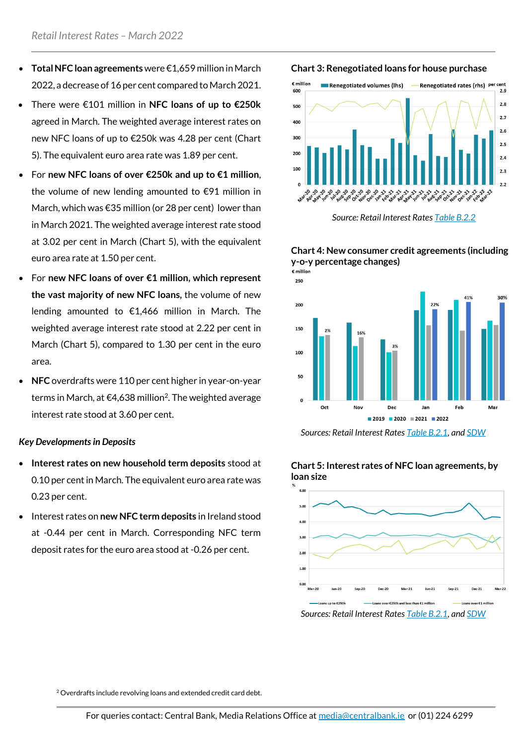- **Total NFC loan agreements**were €1,659 million inMarch 2022, a decrease of 16 per cent compared to March 2021.
- There were €101 million in **NFC loans of up to €250k** agreed in March. The weighted average interest rates on new NFC loans of up to €250k was 4.28 per cent (Chart 5). The equivalent euro area rate was 1.89 per cent.
- For **new NFC loans of over €250k and up to €1 million**, the volume of new lending amounted to  $\epsilon$ 91 million in March, which was €35 million (or 28 per cent) lower than in March 2021. The weighted average interest rate stood at 3.02 per cent in March (Chart 5), with the equivalent euro area rate at 1.50 per cent.
- For **new NFC loans of over €1 million, which represent the vast majority of new NFC loans,** the volume of new lending amounted to €1,466 million in March. The weighted average interest rate stood at 2.22 per cent in March (Chart 5), compared to 1.30 per cent in the euro area.
- **NFC** overdrafts were 110 per cent higher in year-on-year terms in March, at  $\epsilon$ 4,638 million<sup>2</sup>. The weighted average interest rate stood at 3.60 per cent.

#### *Key Developments in Deposits*

- **Interest rates on new household term deposits** stood at 0.10 per cent in March. The equivalent euro area rate was 0.23 per cent.
- Interest rates on **new NFC term deposits** in Ireland stood at -0.44 per cent in March. Corresponding NFC term deposit rates for the euro area stood at -0.26 per cent.

**Chart 3: Renegotiated loans for house purchase**



*Source: Retail Interest Rates [Table B.2.2](https://www.centralbank.ie/statistics/data-and-analysis/credit-and-banking-statistics/retail-interest-rates)*





*Sources: Retail Interest Rate[s Table B.2.1,](https://www.centralbank.ie/statistics/data-and-analysis/credit-and-banking-statistics/retail-interest-rates) an[d SDW](http://sdw.ecb.europa.eu/browse.do?node=9691382)*

**Chart 5: Interest rates of NFC loan agreements, by** 



*Sources: Retail Interest Rate[s Table B.2.1,](https://www.centralbank.ie/statistics/data-and-analysis/credit-and-banking-statistics/retail-interest-rates) an[d SDW](http://sdw.ecb.europa.eu/browse.do?node=9691382)*

<sup>2</sup> Overdrafts include revolving loans and extended credit card debt.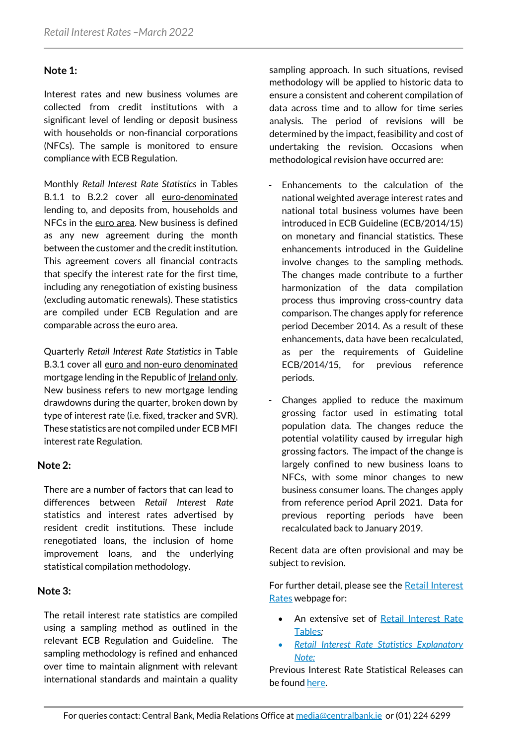## **Note 1:**

Interest rates and new business volumes are collected from credit institutions with a significant level of lending or deposit business with households or non-financial corporations (NFCs). The sample is monitored to ensure compliance with ECB Regulation.

Monthly *Retail Interest Rate Statistics* in Tables B.1.1 to B.2.2 cover all euro-denominated lending to, and deposits from, households and NFCs in the euro area. New business is defined as any new agreement during the month between the customer and the credit institution. This agreement covers all financial contracts that specify the interest rate for the first time, including any renegotiation of existing business (excluding automatic renewals). These statistics are compiled under ECB Regulation and are comparable across the euro area.

Quarterly *Retail Interest Rate Statistics* in Table B.3.1 cover all euro and non-euro denominated mortgage lending in the Republic of Ireland only. New business refers to new mortgage lending drawdowns during the quarter, broken down by type of interest rate (i.e. fixed, tracker and SVR). These statistics are not compiled under ECB MFI interest rate Regulation.

## **Note 2:**

There are a number of factors that can lead to differences between *Retail Interest Rate*  statistics and interest rates advertised by resident credit institutions. These include renegotiated loans, the inclusion of home improvement loans, and the underlying statistical compilation methodology.

## **Note 3:**

The retail interest rate statistics are compiled using a sampling method as outlined in the relevant ECB Regulation and Guideline. The sampling methodology is refined and enhanced over time to maintain alignment with relevant international standards and maintain a quality sampling approach. In such situations, revised methodology will be applied to historic data to ensure a consistent and coherent compilation of data across time and to allow for time series analysis. The period of revisions will be determined by the impact, feasibility and cost of undertaking the revision. Occasions when methodological revision have occurred are:

- Enhancements to the calculation of the national weighted average interest rates and national total business volumes have been introduced in ECB Guideline (ECB/2014/15) on monetary and financial statistics. These enhancements introduced in the Guideline involve changes to the sampling methods. The changes made contribute to a further harmonization of the data compilation process thus improving cross-country data comparison. The changes apply for reference period December 2014. As a result of these enhancements, data have been recalculated, as per the requirements of Guideline ECB/2014/15, for previous reference periods.
- Changes applied to reduce the maximum grossing factor used in estimating total population data. The changes reduce the potential volatility caused by irregular high grossing factors. The impact of the change is largely confined to new business loans to NFCs, with some minor changes to new business consumer loans. The changes apply from reference period April 2021. Data for previous reporting periods have been recalculated back to January 2019.

Recent data are often provisional and may be subject to revision.

For further detail, please see the [Retail Interest](https://centralbank.ie/statistics/data-and-analysis/credit-and-banking-statistics/retail-interest-rates)  [Rates](https://centralbank.ie/statistics/data-and-analysis/credit-and-banking-statistics/retail-interest-rates) webpage for:

- An extensive set of Retail Interest Rate [Tables](https://centralbank.ie/statistics/data-and-analysis/credit-and-banking-statistics/retail-interest-rates)*;*
- *[Retail Interest Rate Statistics Explanatory](https://www.centralbank.ie/docs/default-source/statistics/data-and-analysis/credit-and-banking-statistics/retail-interest-rates/data/retail_interest_rate_statistics_explanatory_notes.pdf?sfvrsn=6)  [Note;](https://www.centralbank.ie/docs/default-source/statistics/data-and-analysis/credit-and-banking-statistics/retail-interest-rates/data/retail_interest_rate_statistics_explanatory_notes.pdf?sfvrsn=6)*

Previous Interest Rate Statistical Releases can be found [here.](https://centralbank.ie/statistics/interest-rates-exchange-rates/retail-interest-rates/previous-statistical-releases)